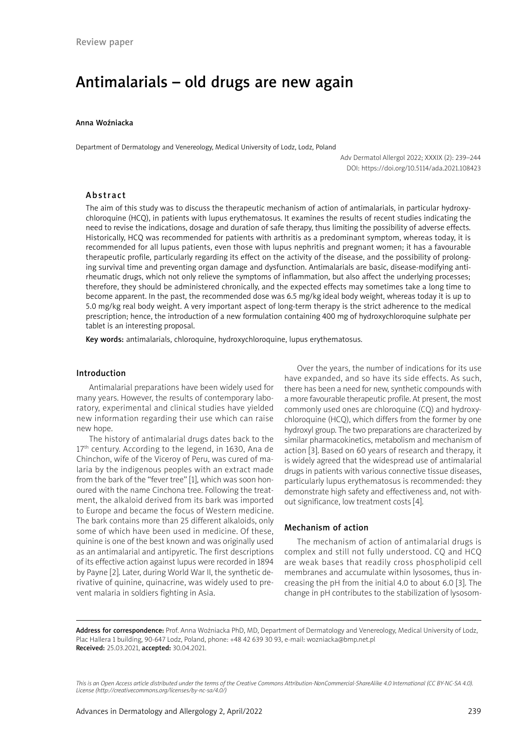# Antimalarials – old drugs are new again

### Anna Woźniacka

Department of Dermatology and Venereology, Medical University of Lodz, Lodz, Poland

Adv Dermatol Allergol 2022; XXXIX (2): 239–244 DOI: https://doi.org/10.5114/ada.2021.108423

### Abstract

The aim of this study was to discuss the therapeutic mechanism of action of antimalarials, in particular hydroxychloroquine (HCQ), in patients with lupus erythematosus. It examines the results of recent studies indicating the need to revise the indications, dosage and duration of safe therapy, thus limiting the possibility of adverse effects. Historically, HCQ was recommended for patients with arthritis as a predominant symptom, whereas today, it is recommended for all lupus patients, even those with lupus nephritis and pregnant women; it has a favourable therapeutic profile, particularly regarding its effect on the activity of the disease, and the possibility of prolonging survival time and preventing organ damage and dysfunction. Antimalarials are basic, disease-modifying antirheumatic drugs, which not only relieve the symptoms of inflammation, but also affect the underlying processes; therefore, they should be administered chronically, and the expected effects may sometimes take a long time to become apparent. In the past, the recommended dose was 6.5 mg/kg ideal body weight, whereas today it is up to 5.0 mg/kg real body weight. A very important aspect of long-term therapy is the strict adherence to the medical prescription; hence, the introduction of a new formulation containing 400 mg of hydroxychloroquine sulphate per tablet is an interesting proposal.

Key words: antimalarials, chloroquine, hydroxychloroquine, lupus erythematosus.

#### Introduction

Antimalarial preparations have been widely used for many years. However, the results of contemporary laboratory, experimental and clinical studies have yielded new information regarding their use which can raise new hope.

The history of antimalarial drugs dates back to the  $17<sup>th</sup>$  century. According to the legend, in 1630, Ana de Chinchon, wife of the Viceroy of Peru, was cured of malaria by the indigenous peoples with an extract made from the bark of the "fever tree" [1], which was soon honoured with the name Cinchona tree. Following the treatment, the alkaloid derived from its bark was imported to Europe and became the focus of Western medicine. The bark contains more than 25 different alkaloids, only some of which have been used in medicine. Of these, quinine is one of the best known and was originally used as an antimalarial and antipyretic. The first descriptions of its effective action against lupus were recorded in 1894 by Payne [2]. Later, during World War II, the synthetic derivative of quinine, quinacrine, was widely used to prevent malaria in soldiers fighting in Asia.

Over the years, the number of indications for its use have expanded, and so have its side effects. As such, there has been a need for new, synthetic compounds with a more favourable therapeutic profile. At present, the most commonly used ones are chloroquine (CQ) and hydroxychloroquine (HCQ), which differs from the former by one hydroxyl group. The two preparations are characterized by similar pharmacokinetics, metabolism and mechanism of action [3]. Based on 60 years of research and therapy, it is widely agreed that the widespread use of antimalarial drugs in patients with various connective tissue diseases, particularly lupus erythematosus is recommended: they demonstrate high safety and effectiveness and, not without significance, low treatment costs [4].

## Mechanism of action

The mechanism of action of antimalarial drugs is complex and still not fully understood. CQ and HCQ are weak bases that readily cross phospholipid cell membranes and accumulate within lysosomes, thus increasing the pH from the initial 4.0 to about 6.0 [3]. The change in pH contributes to the stabilization of lysosom-

Address for correspondence: Prof. Anna Woźniacka PhD, MD, Department of Dermatology and Venereology, Medical University of Lodz, Plac Hallera 1 building, 90-647 Lodz, Poland, phone: +48 42 639 30 93, e-mail: wozniacka@bmp.net.pl Received: 25.03.2021, accepted: 30.04.2021.

*This is an Open Access article distributed under the terms of the Creative Commons Attribution-NonCommercial-ShareAlike 4.0 International (CC BY-NC-SA 4.0). License (http://creativecommons.org/licenses/by-nc-sa/4.0/)*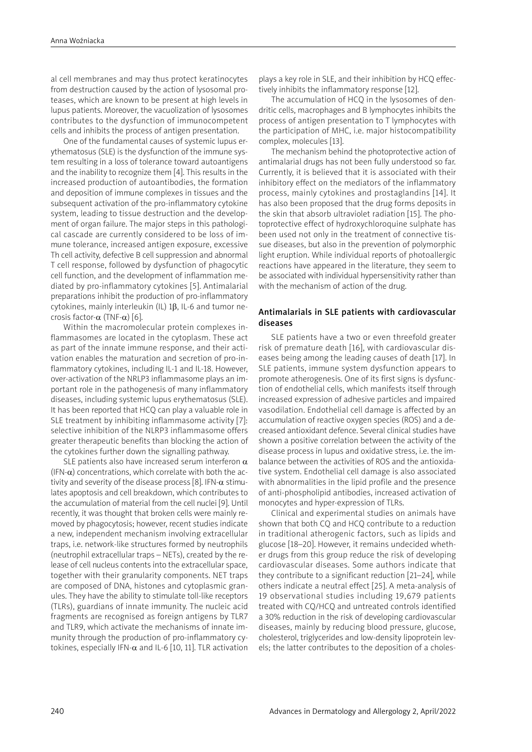al cell membranes and may thus protect keratinocytes from destruction caused by the action of lysosomal proteases, which are known to be present at high levels in lupus patients. Moreover, the vacuolization of lysosomes contributes to the dysfunction of immunocompetent cells and inhibits the process of antigen presentation.

One of the fundamental causes of systemic lupus erythematosus (SLE) is the dysfunction of the immune system resulting in a loss of tolerance toward autoantigens and the inability to recognize them [4]. This results in the increased production of autoantibodies, the formation and deposition of immune complexes in tissues and the subsequent activation of the pro-inflammatory cytokine system, leading to tissue destruction and the development of organ failure. The major steps in this pathological cascade are currently considered to be loss of immune tolerance, increased antigen exposure, excessive Th cell activity, defective B cell suppression and abnormal T cell response, followed by dysfunction of phagocytic cell function, and the development of inflammation mediated by pro-inflammatory cytokines [5]. Antimalarial preparations inhibit the production of pro-inflammatory cytokines, mainly interleukin (IL) 1β, IL-6 and tumor necrosis factor- $\alpha$  (TNF- $\alpha$ ) [6].

Within the macromolecular protein complexes inflammasomes are located in the cytoplasm. These act as part of the innate immune response, and their activation enables the maturation and secretion of pro-inflammatory cytokines, including IL-1 and IL-18. However, over-activation of the NRLP3 inflammasome plays an important role in the pathogenesis of many inflammatory diseases, including systemic lupus erythematosus (SLE). It has been reported that HCQ can play a valuable role in SLE treatment by inhibiting inflammasome activity [7]: selective inhibition of the NLRP3 inflammasome offers greater therapeutic benefits than blocking the action of the cytokines further down the signalling pathway.

SLE patients also have increased serum interferon  $\alpha$ (IFN- $\alpha$ ) concentrations, which correlate with both the activity and severity of the disease process [8]. IFN- $\alpha$  stimulates apoptosis and cell breakdown, which contributes to the accumulation of material from the cell nuclei [9]. Until recently, it was thought that broken cells were mainly removed by phagocytosis; however, recent studies indicate a new, independent mechanism involving extracellular traps, i.e. network-like structures formed by neutrophils (neutrophil extracellular traps – NETs), created by the release of cell nucleus contents into the extracellular space, together with their granularity components. NET traps are composed of DNA, histones and cytoplasmic granules. They have the ability to stimulate toll-like receptors (TLRs), guardians of innate immunity. The nucleic acid fragments are recognised as foreign antigens by TLR7 and TLR9, which activate the mechanisms of innate immunity through the production of pro-inflammatory cytokines, especially IFN- $\alpha$  and IL-6 [10, 11]. TLR activation plays a key role in SLE, and their inhibition by HCQ effectively inhibits the inflammatory response [12].

The accumulation of HCQ in the lysosomes of dendritic cells, macrophages and B lymphocytes inhibits the process of antigen presentation to T lymphocytes with the participation of MHC, i.e. major histocompatibility complex, molecules [13].

The mechanism behind the photoprotective action of antimalarial drugs has not been fully understood so far. Currently, it is believed that it is associated with their inhibitory effect on the mediators of the inflammatory process, mainly cytokines and prostaglandins [14]. It has also been proposed that the drug forms deposits in the skin that absorb ultraviolet radiation [15]. The photoprotective effect of hydroxychloroquine sulphate has been used not only in the treatment of connective tissue diseases, but also in the prevention of polymorphic light eruption. While individual reports of photoallergic reactions have appeared in the literature, they seem to be associated with individual hypersensitivity rather than with the mechanism of action of the drug.

# Antimalarials in SLE patients with cardiovascular diseases

SLE patients have a two or even threefold greater risk of premature death [16], with cardiovascular diseases being among the leading causes of death [17]. In SLE patients, immune system dysfunction appears to promote atherogenesis. One of its first signs is dysfunction of endothelial cells, which manifests itself through increased expression of adhesive particles and impaired vasodilation. Endothelial cell damage is affected by an accumulation of reactive oxygen species (ROS) and a decreased antioxidant defence. Several clinical studies have shown a positive correlation between the activity of the disease process in lupus and oxidative stress, i.e. the imbalance between the activities of ROS and the antioxidative system. Endothelial cell damage is also associated with abnormalities in the lipid profile and the presence of anti-phospholipid antibodies, increased activation of monocytes and hyper-expression of TLRs.

Clinical and experimental studies on animals have shown that both CQ and HCQ contribute to a reduction in traditional atherogenic factors, such as lipids and glucose [18–20]. However, it remains undecided whether drugs from this group reduce the risk of developing cardiovascular diseases. Some authors indicate that they contribute to a significant reduction [21–24], while others indicate a neutral effect [25]. A meta-analysis of 19 observational studies including 19,679 patients treated with CQ/HCQ and untreated controls identified a 30% reduction in the risk of developing cardiovascular diseases, mainly by reducing blood pressure, glucose, cholesterol, triglycerides and low-density lipoprotein levels; the latter contributes to the deposition of a choles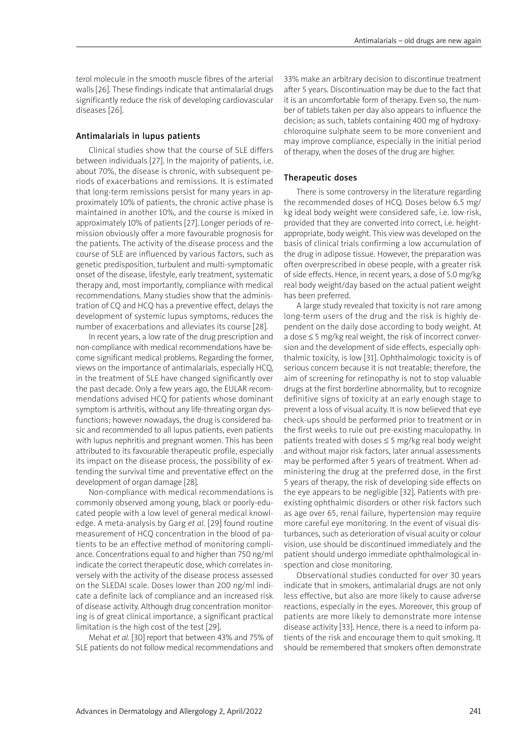terol molecule in the smooth muscle fibres of the arterial walls [26]. These findings indicate that antimalarial drugs significantly reduce the risk of developing cardiovascular diseases [26].

# Antimalarials in lupus patients

Clinical studies show that the course of SLE differs between individuals [27]. In the majority of patients, i.e. about 70%, the disease is chronic, with subsequent periods of exacerbations and remissions. It is estimated that long-term remissions persist for many years in approximately 10% of patients, the chronic active phase is maintained in another 10%, and the course is mixed in approximately 10% of patients [27]. Longer periods of remission obviously offer a more favourable prognosis for the patients. The activity of the disease process and the course of SLE are influenced by various factors, such as genetic predisposition, turbulent and multi-symptomatic onset of the disease, lifestyle, early treatment, systematic therapy and, most importantly, compliance with medical recommendations. Many studies show that the administration of CQ and HCQ has a preventive effect, delays the development of systemic lupus symptoms, reduces the number of exacerbations and alleviates its course [28].

In recent years, a low rate of the drug prescription and non-compliance with medical recommendations have become significant medical problems. Regarding the former, views on the importance of antimalarials, especially HCQ, in the treatment of SLE have changed significantly over the past decade. Only a few years ago, the EULAR recommendations advised HCQ for patients whose dominant symptom is arthritis, without any life-threating organ dysfunctions; however nowadays, the drug is considered basic and recommended to all lupus patients, even patients with lupus nephritis and pregnant women. This has been attributed to its favourable therapeutic profile, especially its impact on the disease process, the possibility of extending the survival time and preventative effect on the development of organ damage [28].

Non-compliance with medical recommendations is commonly observed among young, black or poorly-educated people with a low level of general medical knowledge. A meta-analysis by Garg *et al.* [29] found routine measurement of HCQ concentration in the blood of patients to be an effective method of monitoring compliance. Concentrations equal to and higher than 750 ng/ml indicate the correct therapeutic dose, which correlates inversely with the activity of the disease process assessed on the SLEDAI scale. Doses lower than 200 ng/ml indicate a definite lack of compliance and an increased risk of disease activity. Although drug concentration monitoring is of great clinical importance, a significant practical limitation is the high cost of the test [29].

Mehat *et al.* [30] report that between 43% and 75% of SLE patients do not follow medical recommendations and 33% make an arbitrary decision to discontinue treatment after 5 years. Discontinuation may be due to the fact that it is an uncomfortable form of therapy. Even so, the number of tablets taken per day also appears to influence the decision; as such, tablets containing 400 mg of hydroxychloroquine sulphate seem to be more convenient and may improve compliance, especially in the initial period of therapy, when the doses of the drug are higher.

## Therapeutic doses

There is some controversy in the literature regarding the recommended doses of HCQ. Doses below 6.5 mg/ kg ideal body weight were considered safe, i.e. low-risk, provided that they are converted into correct, i.e. heightappropriate, body weight. This view was developed on the basis of clinical trials confirming a low accumulation of the drug in adipose tissue. However, the preparation was often overprescribed in obese people, with a greater risk of side effects. Hence, in recent years, a dose of 5.0 mg/kg real body weight/day based on the actual patient weight has been preferred.

A large study revealed that toxicity is not rare among long-term users of the drug and the risk is highly dependent on the daily dose according to body weight. At a dose ≤ 5 mg/kg real weight, the risk of incorrect conversion and the development of side effects, especially ophthalmic toxicity, is low [31]. Ophthalmologic toxicity is of serious concern because it is not treatable; therefore, the aim of screening for retinopathy is not to stop valuable drugs at the first borderline abnormality, but to recognize definitive signs of toxicity at an early enough stage to prevent a loss of visual acuity. It is now believed that eye check-ups should be performed prior to treatment or in the first weeks to rule out pre-existing maculopathy. In patients treated with doses ≤ 5 mg/kg real body weight and without major risk factors, later annual assessments may be performed after 5 years of treatment. When administering the drug at the preferred dose, in the first 5 years of therapy, the risk of developing side effects on the eye appears to be negligible [32]. Patients with preexisting ophthalmic disorders or other risk factors such as age over 65, renal failure, hypertension may require more careful eye monitoring. In the event of visual disturbances, such as deterioration of visual acuity or colour vision, use should be discontinued immediately and the patient should undergo immediate ophthalmological inspection and close monitoring.

Observational studies conducted for over 30 years indicate that in smokers, antimalarial drugs are not only less effective, but also are more likely to cause adverse reactions, especially in the eyes. Moreover, this group of patients are more likely to demonstrate more intense disease activity [33]. Hence, there is a need to inform patients of the risk and encourage them to quit smoking. It should be remembered that smokers often demonstrate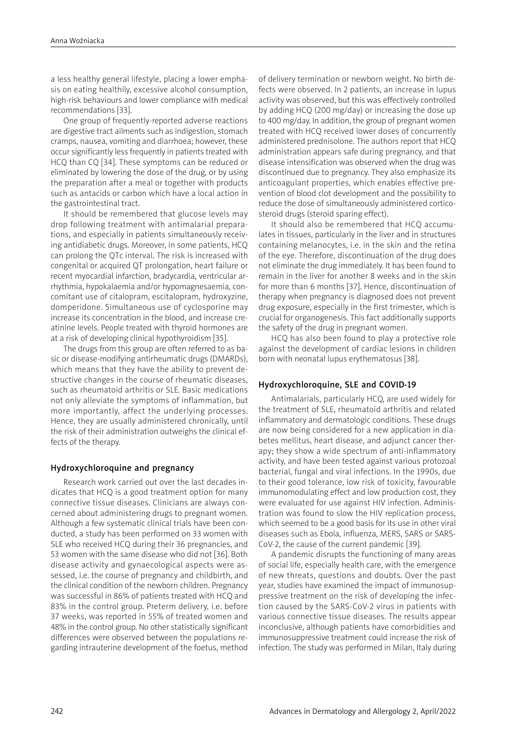a less healthy general lifestyle, placing a lower emphasis on eating healthily, excessive alcohol consumption, high-risk behaviours and lower compliance with medical recommendations [33].

One group of frequently-reported adverse reactions are digestive tract ailments such as indigestion, stomach cramps, nausea, vomiting and diarrhoea; however, these occur significantly less frequently in patients treated with HCQ than CQ [34]. These symptoms can be reduced or eliminated by lowering the dose of the drug, or by using the preparation after a meal or together with products such as antacids or carbon which have a local action in the gastrointestinal tract.

It should be remembered that glucose levels may drop following treatment with antimalarial preparations, and especially in patients simultaneously receiving antidiabetic drugs. Moreover, in some patients, HCQ can prolong the QTc interval. The risk is increased with congenital or acquired QT prolongation, heart failure or recent myocardial infarction, bradycardia, ventricular arrhythmia, hypokalaemia and/or hypomagnesaemia, concomitant use of citalopram, escitalopram, hydroxyzine, domperidone. Simultaneous use of cyclosporine may increase its concentration in the blood, and increase creatinine levels. People treated with thyroid hormones are at a risk of developing clinical hypothyroidism [35].

The drugs from this group are often referred to as basic or disease-modifying antirheumatic drugs (DMARDs), which means that they have the ability to prevent destructive changes in the course of rheumatic diseases, such as rheumatoid arthritis or SLE. Basic medications not only alleviate the symptoms of inflammation, but more importantly, affect the underlying processes. Hence, they are usually administered chronically, until the risk of their administration outweighs the clinical effects of the therapy.

# Hydroxychloroquine and pregnancy

Research work carried out over the last decades indicates that HCQ is a good treatment option for many connective tissue diseases. Clinicians are always concerned about administering drugs to pregnant women. Although a few systematic clinical trials have been conducted, a study has been performed on 33 women with SLE who received HCQ during their 36 pregnancies, and 53 women with the same disease who did not [36]. Both disease activity and gynaecological aspects were assessed, i.e. the course of pregnancy and childbirth, and the clinical condition of the newborn children. Pregnancy was successful in 86% of patients treated with HCQ and 83% in the control group. Preterm delivery, i.e. before 37 weeks, was reported in 55% of treated women and 48% in the control group. No other statistically significant differences were observed between the populations regarding intrauterine development of the foetus, method

of delivery termination or newborn weight. No birth defects were observed. In 2 patients, an increase in lupus activity was observed, but this was effectively controlled by adding HCQ (200 mg/day) or increasing the dose up to 400 mg/day. In addition, the group of pregnant women treated with HCQ received lower doses of concurrently administered prednisolone. The authors report that HCQ administration appears safe during pregnancy, and that disease intensification was observed when the drug was discontinued due to pregnancy. They also emphasize its anticoagulant properties, which enables effective prevention of blood clot development and the possibility to reduce the dose of simultaneously administered corticosteroid drugs (steroid sparing effect).

It should also be remembered that HCQ accumulates in tissues, particularly in the liver and in structures containing melanocytes, i.e. in the skin and the retina of the eye. Therefore, discontinuation of the drug does not eliminate the drug immediately. It has been found to remain in the liver for another 8 weeks and in the skin for more than 6 months [37]. Hence, discontinuation of therapy when pregnancy is diagnosed does not prevent drug exposure, especially in the first trimester, which is crucial for organogenesis. This fact additionally supports the safety of the drug in pregnant women.

HCQ has also been found to play a protective role against the development of cardiac lesions in children born with neonatal lupus erythematosus [38].

## Hydroxychloroquine, SLE and COVID-19

Antimalarials, particularly HCQ, are used widely for the treatment of SLE, rheumatoid arthritis and related inflammatory and dermatologic conditions. These drugs are now being considered for a new application in diabetes mellitus, heart disease, and adjunct cancer therapy; they show a wide spectrum of anti-inflammatory activity, and have been tested against various protozoal bacterial, fungal and viral infections. In the 1990s, due to their good tolerance, low risk of toxicity, favourable immunomodulating effect and low production cost, they were evaluated for use against HIV infection. Administration was found to slow the HIV replication process, which seemed to be a good basis for its use in other viral diseases such as Ebola, influenza, MERS, SARS or SARS-CoV-2, the cause of the current pandemic [39].

A pandemic disrupts the functioning of many areas of social life, especially health care, with the emergence of new threats, questions and doubts. Over the past year, studies have examined the impact of immunosuppressive treatment on the risk of developing the infection caused by the SARS-CoV-2 virus in patients with various connective tissue diseases. The results appear inconclusive, although patients have comorbidities and immunosuppressive treatment could increase the risk of infection. The study was performed in Milan, Italy during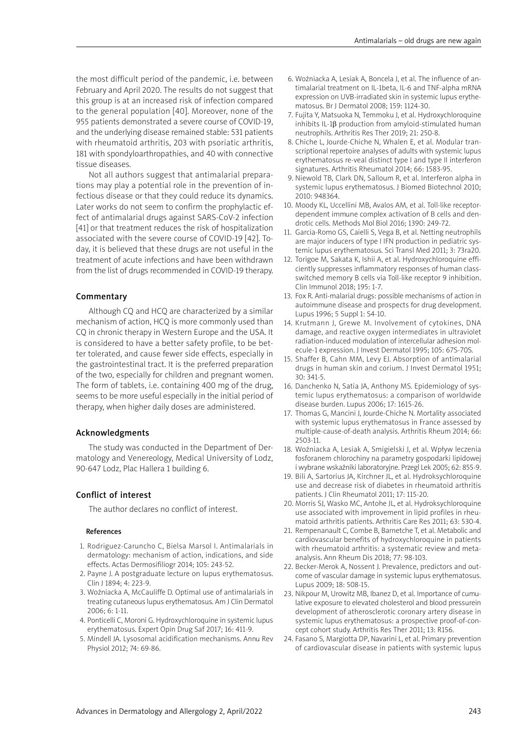the most difficult period of the pandemic, i.e. between February and April 2020. The results do not suggest that this group is at an increased risk of infection compared to the general population [40]. Moreover, none of the 955 patients demonstrated a severe course of COVID-19, and the underlying disease remained stable: 531 patients with rheumatoid arthritis, 203 with psoriatic arthritis, 181 with spondyloarthropathies, and 40 with connective tissue diseases.

Not all authors suggest that antimalarial preparations may play a potential role in the prevention of infectious disease or that they could reduce its dynamics. Later works do not seem to confirm the prophylactic effect of antimalarial drugs against SARS-CoV-2 infection [41] or that treatment reduces the risk of hospitalization associated with the severe course of COVID-19 [42]. Today, it is believed that these drugs are not useful in the treatment of acute infections and have been withdrawn from the list of drugs recommended in COVID-19 therapy.

## Commentary

Although CQ and HCQ are characterized by a similar mechanism of action, HCQ is more commonly used than CQ in chronic therapy in Western Europe and the USA. It is considered to have a better safety profile, to be better tolerated, and cause fewer side effects, especially in the gastrointestinal tract. It is the preferred preparation of the two, especially for children and pregnant women. The form of tablets, i.e. containing 400 mg of the drug, seems to be more useful especially in the initial period of therapy, when higher daily doses are administered.

#### Acknowledgments

The study was conducted in the Department of Dermatology and Venereology, Medical University of Lodz, 90-647 Lodz, Plac Hallera 1 building 6.

# Conflict of interest

The author declares no conflict of interest.

### References

- 1. Rodriguez-Caruncho C, Bielsa Marsol I. Antimalarials in dermatology: mechanism of action, indications, and side effects. Actas Dermosifiliogr 2014; 105: 243-52.
- 2. Payne J. A postgraduate lecture on lupus erythematosus. Clin J 1894; 4: 223-9.
- 3. Woźniacka A, McCauliffe D. Optimal use of antimalarials in treating cutaneous lupus erythematosus. Am J Clin Dermatol 2006; 6: 1-11.
- 4. Ponticelli C, Moroni G. Hydroxychloroquine in systemic lupus erythematosus. Expert Opin Drug Saf 2017; 16: 411-9.
- 5. Mindell JA. Lysosomal acidification mechanisms. Annu Rev Physiol 2012; 74: 69-86.
- 6. Woźniacka A, Lesiak A, Boncela J, et al. The influence of antimalarial treatment on IL-1beta, IL-6 and TNF-alpha mRNA expression on UVB-irradiated skin in systemic lupus erythematosus. Br J Dermatol 2008; 159: 1124-30.
- 7. Fujita Y, Matsuoka N, Temmoku J, et al. Hydroxychloroquine inhibits IL-1β production from amyloid-stimulated human neutrophils. Arthritis Res Ther 2019; 21: 250-8.
- 8. Chiche L, Jourde-Chiche N, Whalen E, et al. Modular transcriptional repertoire analyses of adults with systemic lupus erythematosus re-veal distinct type I and type II interferon signatures. Arthritis Rheumatol 2014; 66: 1583-95.
- 9. Niewold TB, Clark DN, Salloum R, et al. Interferon alpha in systemic lupus erythematosus. J Biomed Biotechnol 2010; 2010: 948364.
- 10. Moody KL, Uccellini MB, Avalos AM, et al. Toll-like receptordependent immune complex activation of B cells and dendrotic cells. Methods Mol Biol 2016; 1390: 249-72.
- 11. Garcia-Romo GS, Caielli S, Vega B, et al. Netting neutrophils are major inducers of type I IFN production in pediatric systemic lupus erythematosus. Sci Transl Med 2011; 3: 73ra20.
- 12. Torigoe M, Sakata K, Ishii A, et al. Hydroxychloroquine efficiently suppresses inflammatory responses of human classswitched memory B cells via Toll-like receptor 9 inhibition. Clin Immunol 2018; 195: 1-7.
- 13. Fox R. Anti-malarial drugs: possible mechanisms of action in autoimmune disease and prospects for drug development. Lupus 1996; 5 Suppl 1: S4-10.
- 14. Krutmann J, Grewe M. Involvement of cytokines, DNA damage, and reactive oxygen intermediates in ultraviolet radiation-induced modulation of intercellular adhesion molecule-1 expression. J Invest Dermatol 1995; 105: 67S-70S.
- 15. Shaffer B, Cahn MM, Levy EJ. Absorption of antimalarial drugs in human skin and corium. J Invest Dermatol 1951; 30: 341-5.
- 16. Danchenko N, Satia JA, Anthony MS. Epidemiology of systemic lupus erythematosus: a comparison of worldwide disease burden. Lupus 2006; 17: 1615-26.
- 17. Thomas G, Mancini J, Jourde-Chiche N. Mortality associated with systemic lupus erythematosus in France assessed by multiple-cause-of-death analysis. Arthritis Rheum 2014; 66: 2503-11.
- 18. Woźniacka A, Lesiak A, Smigielski J, et al. Wpływ leczenia fosforanem chlorochiny na parametry gospodarki lipidowej i wybrane wskaźniki laboratoryjne. Przegl Lek 2005; 62: 855-9.
- 19. Bili A, Sartorius JA, Kirchner JL, et al. Hydroksychloroquine use and decrease risk of diabetes in rheumatoid arthritis patients. J Clin Rheumatol 2011; 17: 115-20.
- 20. Morris SJ, Wasko MC, Antohe JL, et al. Hydroksychloroquine use associated with improvement in lipid profiles in rheumatoid arthritis patients. Arthritis Care Res 2011; 63: 530-4.
- 21. Rempenanault C, Combe B, Barnetche T, et al. Metabolic and cardiovascular benefits of hydroxychloroquine in patients with rheumatoid arthritis: a systematic review and metaanalysis. Ann Rheum Dis 2018; 77: 98-103.
- 22. Becker-Merok A, Nossent J. Prevalence, predictors and outcome of vascular damage in systemic lupus erythematosus. Lupus 2009; 18: 508-15.
- 23. Nikpour M, Urowitz MB, Ibanez D, et al. Importance of cumulative exposure to elevated cholesterol and blood pressurein development of atherosclerotic coronary artery disease in systemic lupus erythematosus: a prospective proof-of-concept cohort study. Arthritis Res Ther 2011; 13: R156.
- 24. Fasano S, Margiotta DP, Navarini L, et al. Primary prevention of cardiovascular disease in patients with systemic lupus